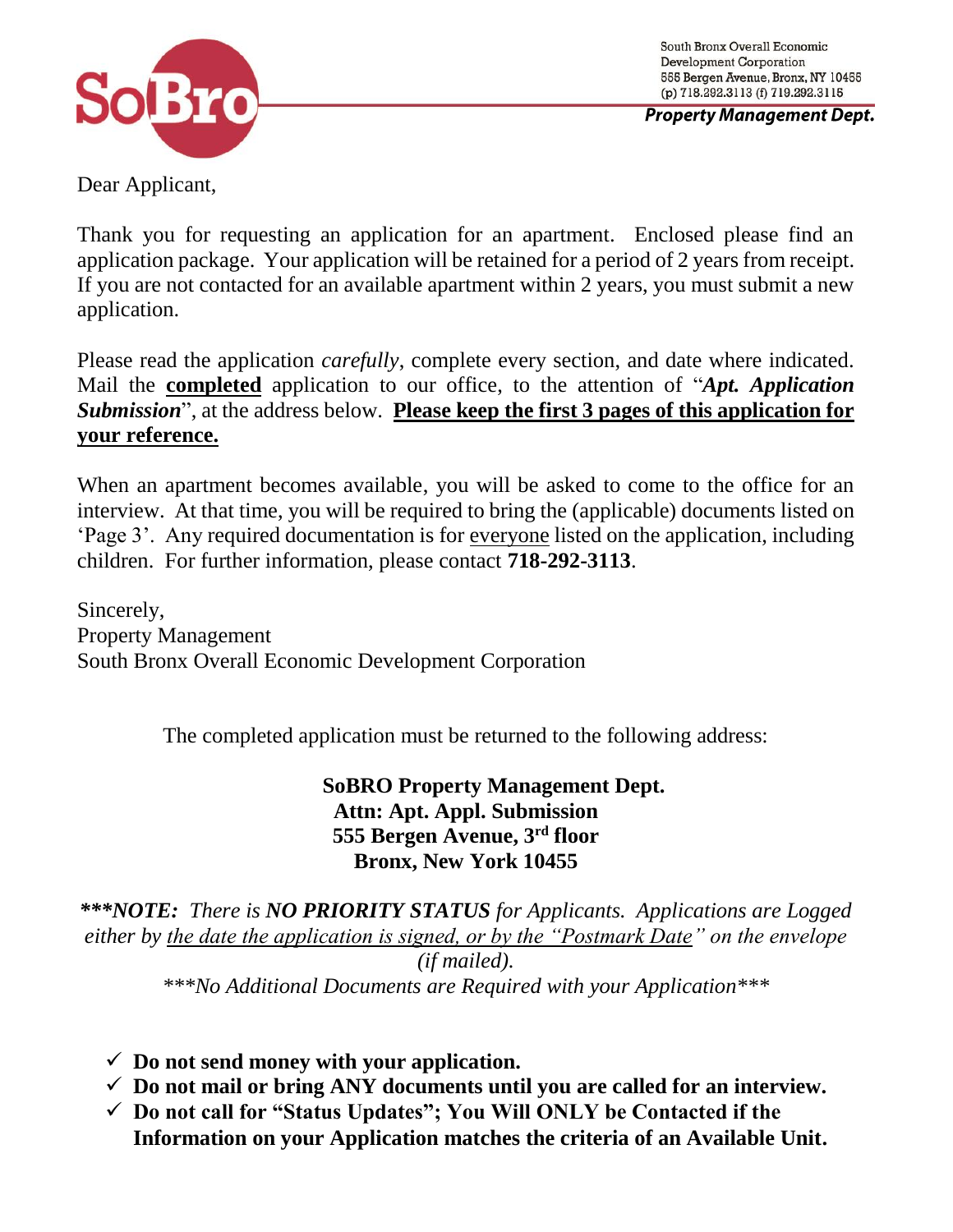

Dear Applicant,

Thank you for requesting an application for an apartment. Enclosed please find an application package. Your application will be retained for a period of 2 years from receipt. If you are not contacted for an available apartment within 2 years, you must submit a new application.

Please read the application *carefully*, complete every section, and date where indicated. Mail the **completed** application to our office, to the attention of "*Apt. Application Submission*", at the address below. **Please keep the first 3 pages of this application for your reference.**

When an apartment becomes available, you will be asked to come to the office for an interview. At that time, you will be required to bring the (applicable) documents listed on 'Page 3'. Any required documentation is for everyone listed on the application, including children. For further information, please contact **718-292-3113**.

Sincerely, Property Management South Bronx Overall Economic Development Corporation

The completed application must be returned to the following address:

**SoBRO Property Management Dept. Attn: Apt. Appl. Submission 555 Bergen Avenue, 3rd floor Bronx, New York 10455**

*\*\*\*NOTE: There is NO PRIORITY STATUS for Applicants. Applications are Logged either by the date the application is signed, or by the "Postmark Date" on the envelope (if mailed). \*\*\*No Additional Documents are Required with your Application\*\*\**

- $\checkmark$  Do not send money with your application.
- **Do not mail or bring ANY documents until you are called for an interview.**
- **Do not call for "Status Updates"; You Will ONLY be Contacted if the Information on your Application matches the criteria of an Available Unit.**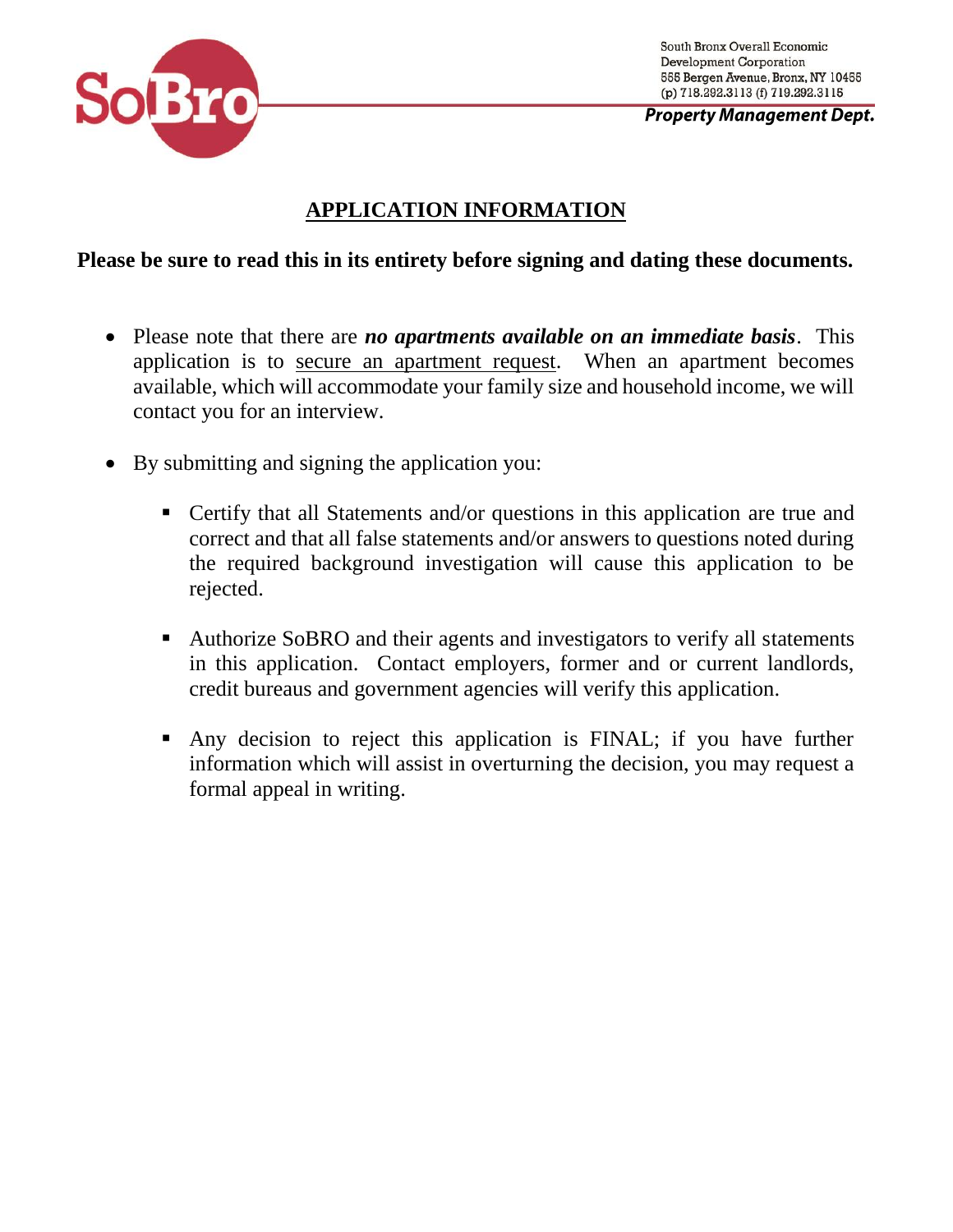

**Property Management Dept.** 

# **APPLICATION INFORMATION**

# **Please be sure to read this in its entirety before signing and dating these documents.**

- Please note that there are *no apartments available on an immediate basis*. This application is to secure an apartment request. When an apartment becomes available, which will accommodate your family size and household income, we will contact you for an interview.
- By submitting and signing the application you:
	- Certify that all Statements and/or questions in this application are true and correct and that all false statements and/or answers to questions noted during the required background investigation will cause this application to be rejected.
	- Authorize SoBRO and their agents and investigators to verify all statements in this application. Contact employers, former and or current landlords, credit bureaus and government agencies will verify this application.
	- Any decision to reject this application is FINAL; if you have further information which will assist in overturning the decision, you may request a formal appeal in writing.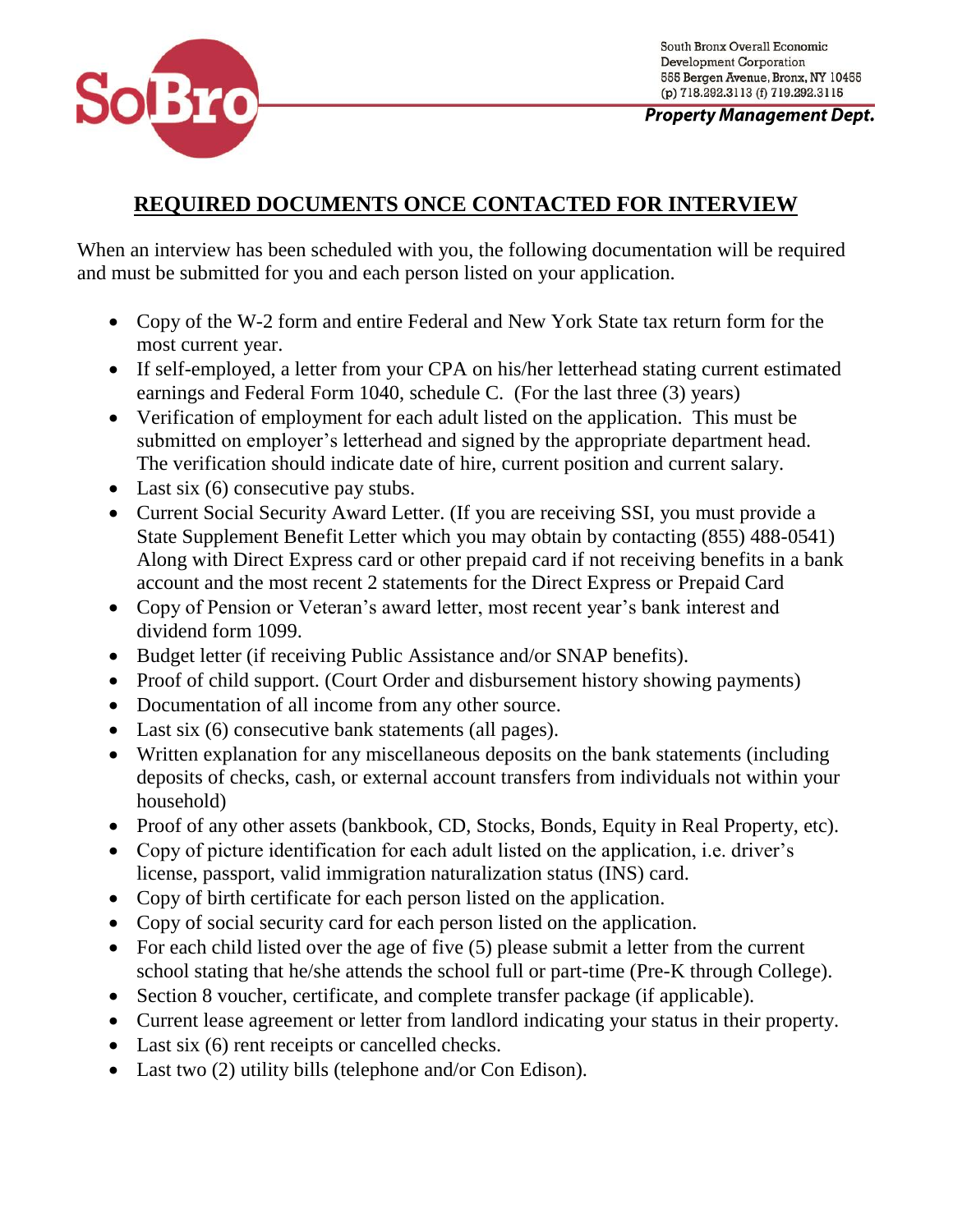

# **REQUIRED DOCUMENTS ONCE CONTACTED FOR INTERVIEW**

When an interview has been scheduled with you, the following documentation will be required and must be submitted for you and each person listed on your application.

- Copy of the W-2 form and entire Federal and New York State tax return form for the most current year.
- If self-employed, a letter from your CPA on his/her letterhead stating current estimated earnings and Federal Form 1040, schedule C. (For the last three (3) years)
- Verification of employment for each adult listed on the application. This must be submitted on employer's letterhead and signed by the appropriate department head. The verification should indicate date of hire, current position and current salary.
- Last six (6) consecutive pay stubs.
- Current Social Security Award Letter. (If you are receiving SSI, you must provide a State Supplement Benefit Letter which you may obtain by contacting (855) 488-0541) Along with Direct Express card or other prepaid card if not receiving benefits in a bank account and the most recent 2 statements for the Direct Express or Prepaid Card
- Copy of Pension or Veteran's award letter, most recent year's bank interest and dividend form 1099.
- Budget letter (if receiving Public Assistance and/or SNAP benefits).
- Proof of child support. (Court Order and disbursement history showing payments)
- Documentation of all income from any other source.
- Last six (6) consecutive bank statements (all pages).
- Written explanation for any miscellaneous deposits on the bank statements (including deposits of checks, cash, or external account transfers from individuals not within your household)
- Proof of any other assets (bankbook, CD, Stocks, Bonds, Equity in Real Property, etc).
- Copy of picture identification for each adult listed on the application, i.e. driver's license, passport, valid immigration naturalization status (INS) card.
- Copy of birth certificate for each person listed on the application.
- Copy of social security card for each person listed on the application.
- For each child listed over the age of five (5) please submit a letter from the current school stating that he/she attends the school full or part-time (Pre-K through College).
- Section 8 voucher, certificate, and complete transfer package (if applicable).
- Current lease agreement or letter from landlord indicating your status in their property.
- Last six (6) rent receipts or cancelled checks.
- Last two (2) utility bills (telephone and/or Con Edison).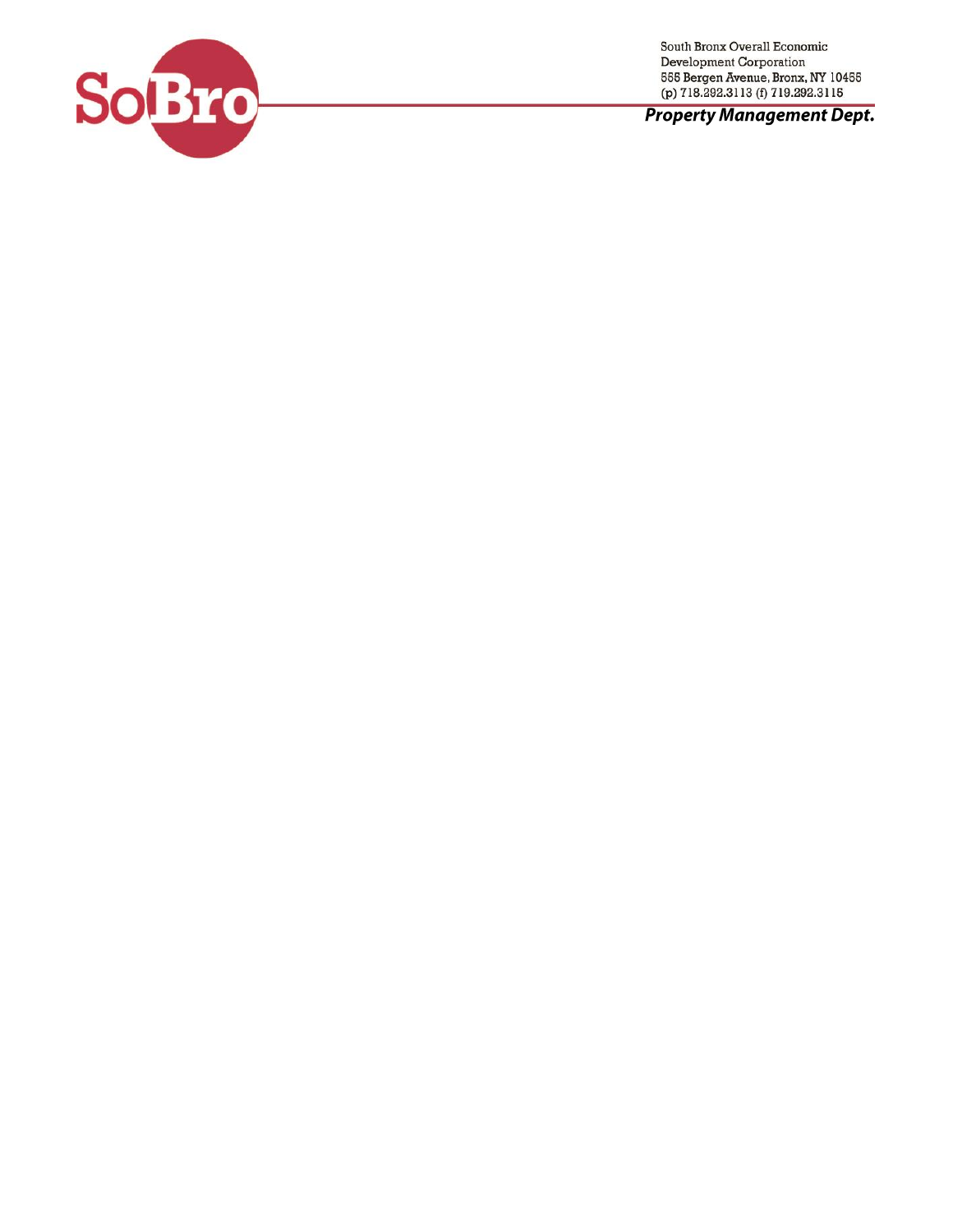

**Property Management Dept.**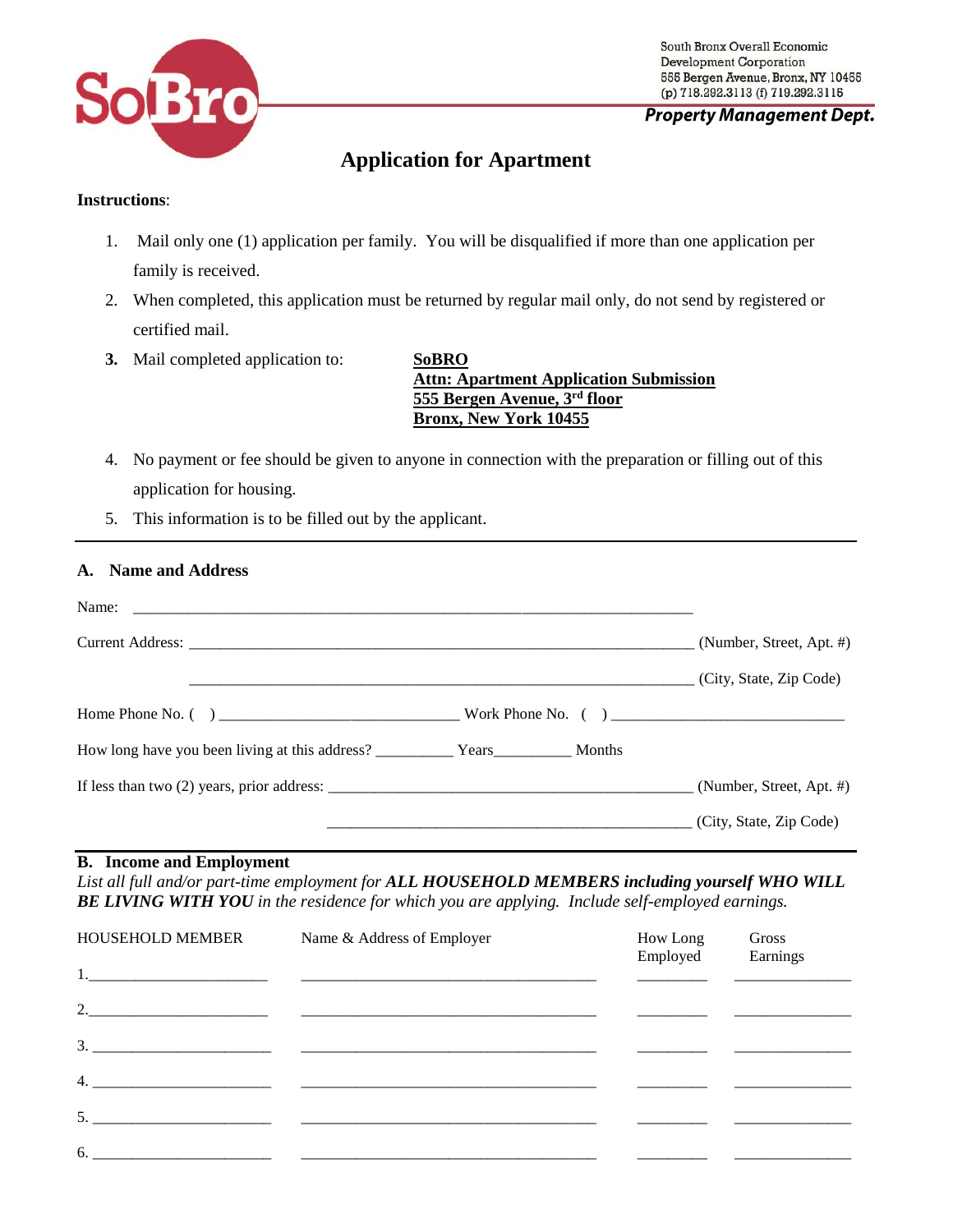

**Property Management Dept.** 

# **Application for Apartment**

### **Instructions**:

- 1. Mail only one (1) application per family. You will be disqualified if more than one application per family is received.
- 2. When completed, this application must be returned by regular mail only, do not send by registered or certified mail.
- **3.** Mail completed application to: **SoBRO**

**Attn: Apartment Application Submission 555 Bergen Avenue, 3rd floor Bronx, New York 10455**

- 4. No payment or fee should be given to anyone in connection with the preparation or filling out of this application for housing.
- 5. This information is to be filled out by the applicant.

#### **A. Name and Address**

|                         | (Number, Street, Apt. #) |
|-------------------------|--------------------------|
|                         | (City, State, Zip Code)  |
|                         |                          |
|                         |                          |
|                         | (Number, Street, Apt. #) |
| (City, State, Zip Code) |                          |

#### **B. Income and Employment**

*List all full and/or part-time employment for ALL HOUSEHOLD MEMBERS including yourself WHO WILL BE LIVING WITH YOU in the residence for which you are applying. Include self-employed earnings.* 

| <b>HOUSEHOLD MEMBER</b> | Name & Address of Employer | How Long<br>Employed              | Gross<br>Earnings                            |
|-------------------------|----------------------------|-----------------------------------|----------------------------------------------|
|                         |                            | the control of the control of the | the control of the control of the control of |
|                         |                            |                                   |                                              |
|                         |                            |                                   |                                              |
|                         | 4.                         |                                   |                                              |
|                         |                            |                                   |                                              |
|                         |                            |                                   |                                              |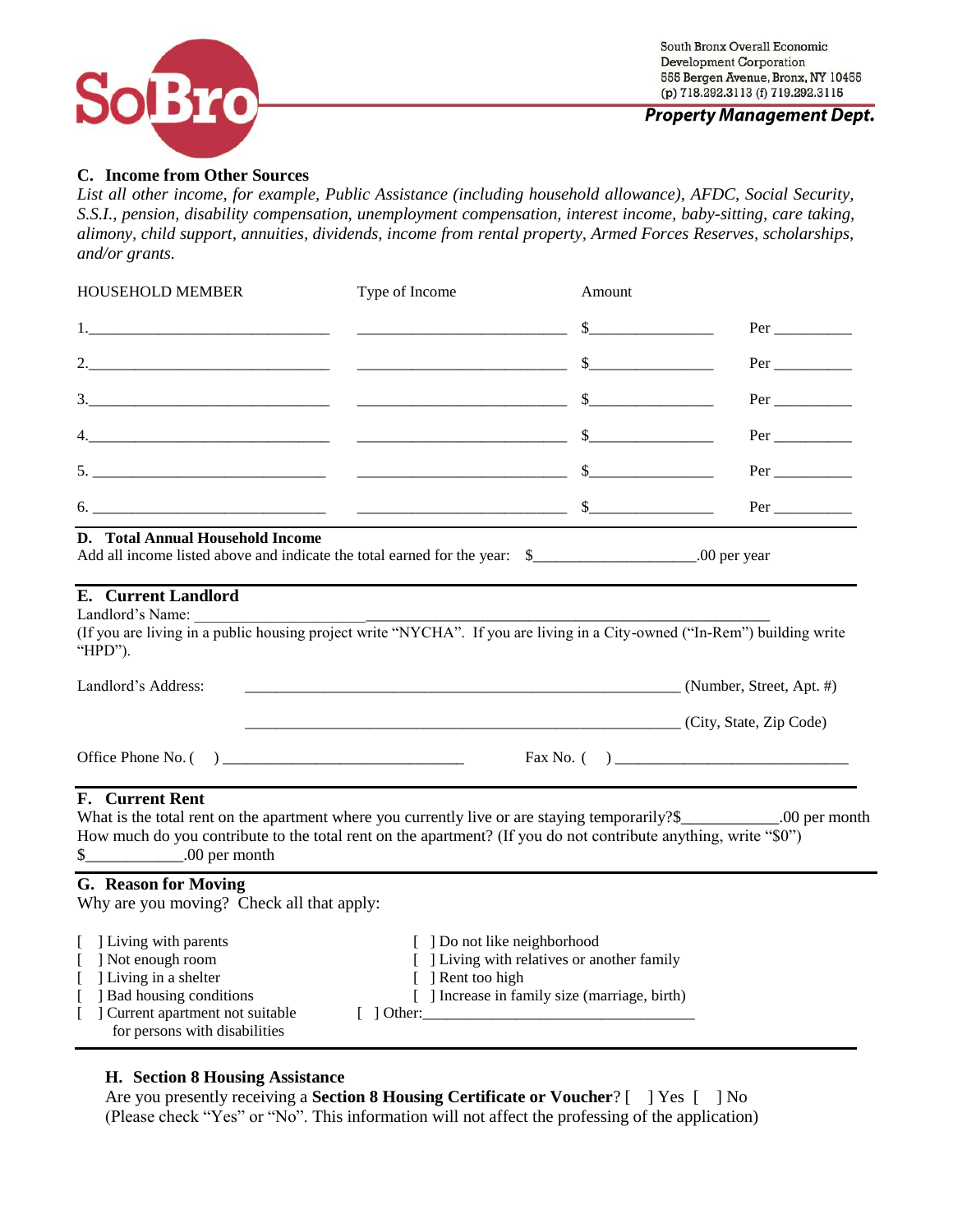

## **C. Income from Other Sources**

*List all other income, for example, Public Assistance (including household allowance), AFDC, Social Security, S.S.I., pension, disability compensation, unemployment compensation, interest income, baby-sitting, care taking, alimony, child support, annuities, dividends, income from rental property, Armed Forces Reserves, scholarships, and/or grants.*

| <b>HOUSEHOLD MEMBER</b>                                                                                                                                                                                                                                                                                   | Type of Income                                                                                | Amount                                                                                       |     |
|-----------------------------------------------------------------------------------------------------------------------------------------------------------------------------------------------------------------------------------------------------------------------------------------------------------|-----------------------------------------------------------------------------------------------|----------------------------------------------------------------------------------------------|-----|
|                                                                                                                                                                                                                                                                                                           |                                                                                               | $\sim$                                                                                       |     |
|                                                                                                                                                                                                                                                                                                           |                                                                                               | $\sim$                                                                                       |     |
|                                                                                                                                                                                                                                                                                                           |                                                                                               |                                                                                              | Per |
|                                                                                                                                                                                                                                                                                                           |                                                                                               | $\mathcal{S}$                                                                                |     |
|                                                                                                                                                                                                                                                                                                           |                                                                                               |                                                                                              |     |
|                                                                                                                                                                                                                                                                                                           |                                                                                               |                                                                                              |     |
| <b>D.</b> Total Annual Household Income<br>Add all income listed above and indicate the total earned for the year: \$__________________00 per year                                                                                                                                                        |                                                                                               |                                                                                              |     |
| Landlord's Name:<br>(If you are living in a public housing project write "NYCHA". If you are living in a City-owned ("In-Rem") building write<br>"HPD").                                                                                                                                                  |                                                                                               |                                                                                              |     |
| Landlord's Address:                                                                                                                                                                                                                                                                                       |                                                                                               |                                                                                              |     |
|                                                                                                                                                                                                                                                                                                           | (City, State, Zip Code)                                                                       |                                                                                              |     |
|                                                                                                                                                                                                                                                                                                           |                                                                                               |                                                                                              |     |
| F. Current Rent<br>What is the total rent on the apartment where you currently live or are staying temporarily?\$___________.00 per month<br>How much do you contribute to the total rent on the apartment? (If you do not contribute anything, write "\$0")<br>$\frac{\text{I}}{\text{I}}$ .00 per month |                                                                                               |                                                                                              |     |
| G. Reason for Moving<br>Why are you moving? Check all that apply:                                                                                                                                                                                                                                         |                                                                                               |                                                                                              |     |
| [ ] Living with parents<br>] Not enough room<br>] Living in a shelter<br>] Bad housing conditions<br>] Current apartment not suitable<br>for persons with disabilities                                                                                                                                    | [ ] Do not like neighborhood<br>[ ] Rent too high<br>$\begin{bmatrix} 1 \end{bmatrix}$ Other: | [ ] Living with relatives or another family<br>[ ] Increase in family size (marriage, birth) |     |

## **H. Section 8 Housing Assistance**

Are you presently receiving a **Section 8 Housing Certificate or Voucher**? [ ] Yes [ ] No (Please check "Yes" or "No". This information will not affect the professing of the application)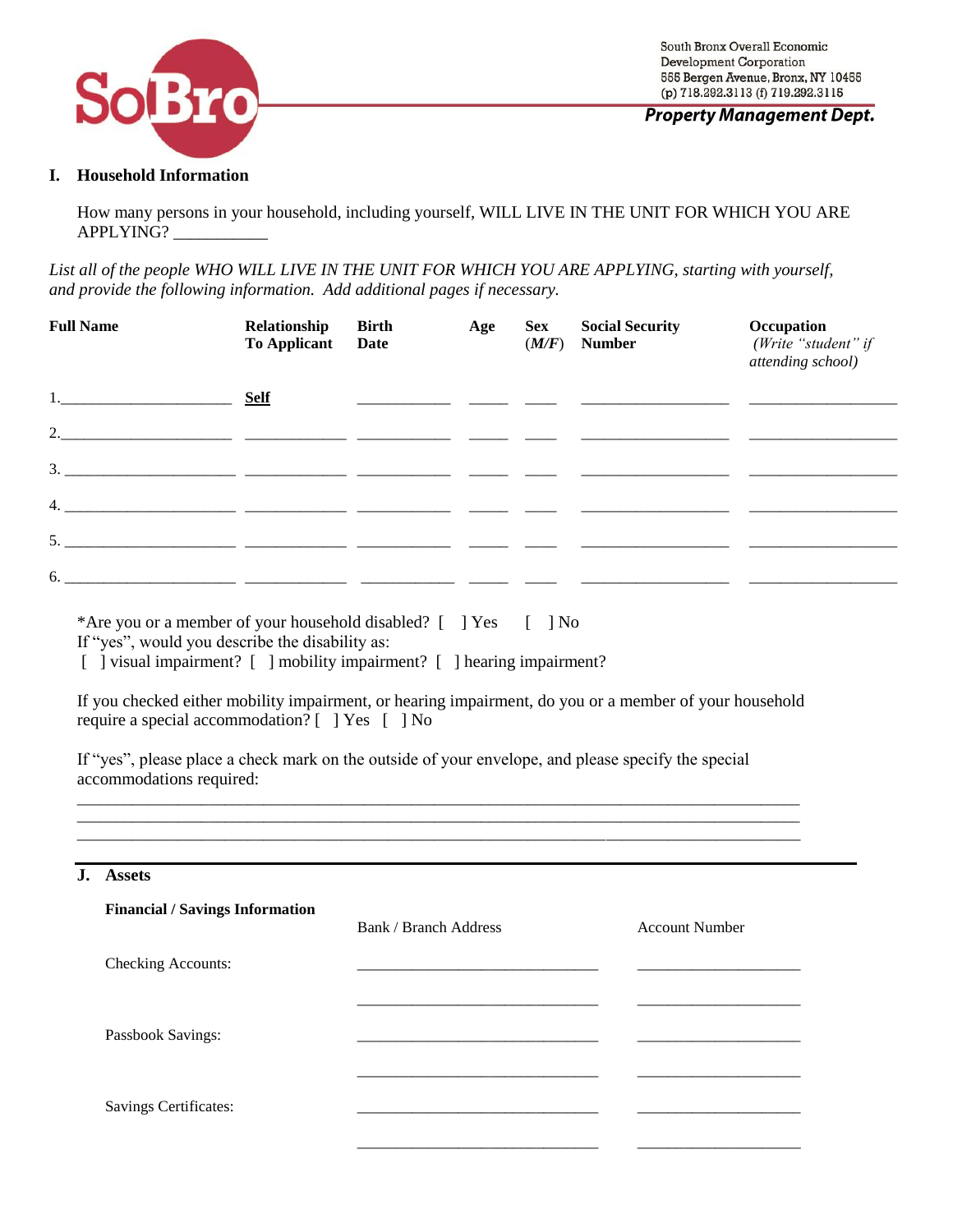

**Property Management Dept.** 

#### **I. Household Information**

How many persons in your household, including yourself, WILL LIVE IN THE UNIT FOR WHICH YOU ARE APPLYING?

*List all of the people WHO WILL LIVE IN THE UNIT FOR WHICH YOU ARE APPLYING, starting with yourself, and provide the following information. Add additional pages if necessary.*

| <b>Full Name</b>              | Relationship<br><b>To Applicant</b> | <b>Birth</b><br>Date | Age | <b>Sex</b><br>(M/F) | <b>Social Security</b><br><b>Number</b> | Occupation<br>(Write "student" if<br>attending school) |
|-------------------------------|-------------------------------------|----------------------|-----|---------------------|-----------------------------------------|--------------------------------------------------------|
| $1. \underline{\hspace{2cm}}$ | <b>Self</b>                         |                      |     |                     |                                         |                                                        |
|                               |                                     |                      |     |                     |                                         |                                                        |
|                               |                                     |                      |     |                     |                                         |                                                        |
|                               |                                     |                      |     |                     |                                         |                                                        |
|                               |                                     |                      |     |                     |                                         |                                                        |
|                               |                                     |                      |     |                     |                                         |                                                        |

\*Are you or a member of your household disabled? [ ] Yes [ ] No

If "yes", would you describe the disability as:

[ ] visual impairment? [ ] mobility impairment? [ ] hearing impairment?

If you checked either mobility impairment, or hearing impairment, do you or a member of your household require a special accommodation? [ ] Yes [ ] No

\_\_\_\_\_\_\_\_\_\_\_\_\_\_\_\_\_\_\_\_\_\_\_\_\_\_\_\_\_\_\_\_\_\_\_\_\_\_\_\_\_\_\_\_\_\_\_\_\_\_\_\_\_\_\_\_\_\_\_\_\_\_\_\_\_\_\_\_\_\_\_\_\_\_\_\_\_\_\_\_\_\_\_\_\_\_\_\_\_\_\_\_\_ \_\_\_\_\_\_\_\_\_\_\_\_\_\_\_\_\_\_\_\_\_\_\_\_\_\_\_\_\_\_\_\_\_\_\_\_\_\_\_\_\_\_\_\_\_\_\_\_\_\_\_\_\_\_\_\_\_\_\_\_\_\_\_\_\_\_\_\_\_\_\_\_\_\_\_\_\_\_\_\_\_\_\_\_\_\_\_\_\_\_\_\_\_ \_\_\_\_\_\_\_\_\_\_\_\_\_\_\_\_\_\_\_\_\_\_\_\_\_\_\_\_\_\_\_\_\_\_\_\_\_\_\_\_\_\_\_\_\_\_\_\_\_\_\_\_\_\_\_\_\_\_\_\_\_\_\_\_\_\_\_\_\_\_\_\_\_\_\_\_\_\_\_\_\_\_\_\_\_\_\_\_\_\_\_\_\_

If "yes", please place a check mark on the outside of your envelope, and please specify the special accommodations required:

### **J. Assets**

| <b>Financial / Savings Information</b> | <b>Bank / Branch Address</b> | <b>Account Number</b> |
|----------------------------------------|------------------------------|-----------------------|
| Checking Accounts:                     |                              |                       |
| Passbook Savings:                      |                              |                       |
| <b>Savings Certificates:</b>           |                              |                       |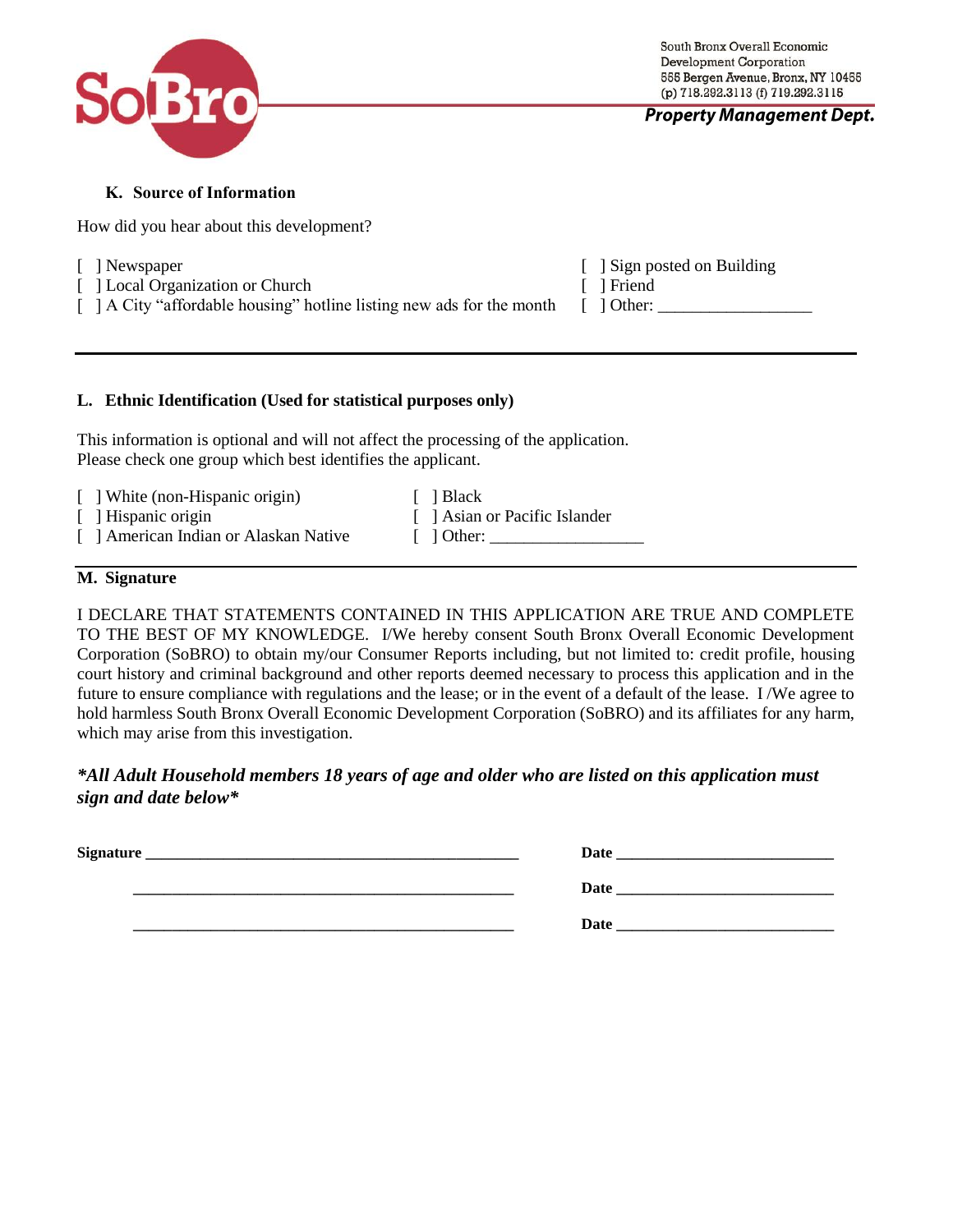

### **K. Source of Information**

How did you hear about this development?

- 
- [ ] Local Organization or Church [ ] Friend
- $\lceil$  | A City "affordable housing" hotline listing new ads for the month  $\lceil$  | Other:
- [ ] Newspaper [ ] Sign posted on Building
	-

## **L. Ethnic Identification (Used for statistical purposes only)**

This information is optional and will not affect the processing of the application. Please check one group which best identifies the applicant.

[ ] White (non-Hispanic origin) [ ] Black [ ] Hispanic origin [ ] Asian or Pacific Islander [ ] American Indian or Alaskan Native [ ] Other:

### **M. Signature**

I DECLARE THAT STATEMENTS CONTAINED IN THIS APPLICATION ARE TRUE AND COMPLETE TO THE BEST OF MY KNOWLEDGE. I/We hereby consent South Bronx Overall Economic Development Corporation (SoBRO) to obtain my/our Consumer Reports including, but not limited to: credit profile, housing court history and criminal background and other reports deemed necessary to process this application and in the future to ensure compliance with regulations and the lease; or in the event of a default of the lease. I /We agree to hold harmless South Bronx Overall Economic Development Corporation (SoBRO) and its affiliates for any harm, which may arise from this investigation.

*\*All Adult Household members 18 years of age and older who are listed on this application must sign and date below\**

| Signature | Date |
|-----------|------|
|           | Date |
|           | Date |